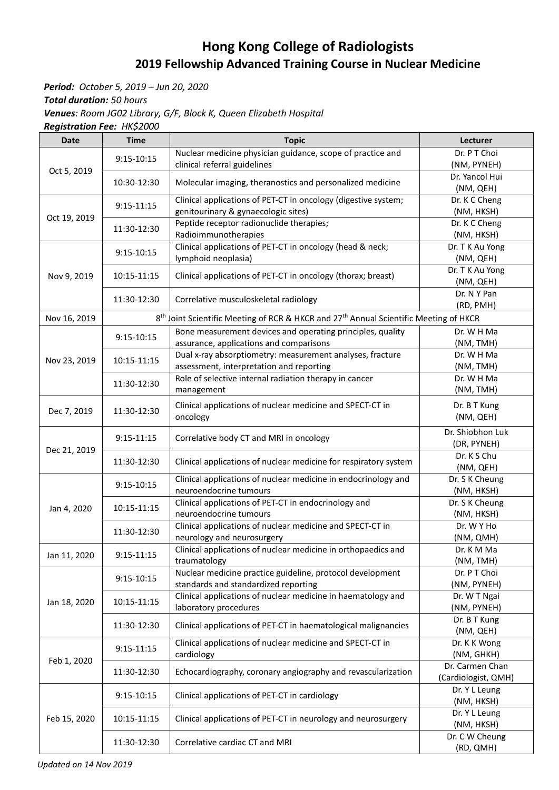## **Hong Kong College of Radiologists 2019 Fellowship Advanced Training Course in Nuclear Medicine**

*Period: October 5, 2019 – Jun 20, 2020 Total duration: 50 hours Venues: Room JG02 Library, G/F, Block K, Queen Elizabeth Hospital Registration Fee: HK\$2000*

| <b>Date</b>  | <b>Time</b>                   | <b>Topic</b>                                                                                                  | Lecturer                    |
|--------------|-------------------------------|---------------------------------------------------------------------------------------------------------------|-----------------------------|
| Oct 5, 2019  |                               | Nuclear medicine physician guidance, scope of practice and                                                    | Dr. P T Choi                |
|              | 9:15-10:15                    | clinical referral guidelines                                                                                  | (NM, PYNEH)                 |
|              | 10:30-12:30                   | Molecular imaging, theranostics and personalized medicine                                                     | Dr. Yancol Hui              |
|              |                               |                                                                                                               | (NM, QEH)                   |
| Oct 19, 2019 | $9:15-11:15$                  | Clinical applications of PET-CT in oncology (digestive system;                                                | Dr. K C Cheng               |
|              |                               | genitourinary & gynaecologic sites)                                                                           | (NM, HKSH)                  |
|              | 11:30-12:30                   | Peptide receptor radionuclide therapies;                                                                      | Dr. K C Cheng               |
|              |                               | Radioimmunotherapies                                                                                          | (NM, HKSH)                  |
|              | $9:15 - 10:15$<br>10:15-11:15 | Clinical applications of PET-CT in oncology (head & neck;                                                     | Dr. T K Au Yong             |
|              |                               | lymphoid neoplasia)                                                                                           | (NM, QEH)                   |
| Nov 9, 2019  |                               | Clinical applications of PET-CT in oncology (thorax; breast)                                                  | Dr. T K Au Yong             |
|              | 11:30-12:30                   | Correlative musculoskeletal radiology                                                                         | (NM, QEH)<br>Dr. N Y Pan    |
|              |                               |                                                                                                               | (RD, PMH)                   |
| Nov 16, 2019 |                               | 8 <sup>th</sup> Joint Scientific Meeting of RCR & HKCR and 27 <sup>th</sup> Annual Scientific Meeting of HKCR |                             |
|              |                               | Bone measurement devices and operating principles, quality                                                    | Dr. W H Ma                  |
|              | $9:15 - 10:15$                | assurance, applications and comparisons                                                                       | (NM, TMH)                   |
|              |                               | Dual x-ray absorptiometry: measurement analyses, fracture                                                     | Dr. W H Ma                  |
| Nov 23, 2019 | 10:15-11:15                   | assessment, interpretation and reporting                                                                      | (NM, TMH)                   |
|              |                               | Role of selective internal radiation therapy in cancer                                                        | Dr. W H Ma                  |
|              | 11:30-12:30                   | management                                                                                                    | (NM, TMH)                   |
|              |                               | Clinical applications of nuclear medicine and SPECT-CT in                                                     | Dr. B T Kung                |
| Dec 7, 2019  | 11:30-12:30                   | oncology                                                                                                      | (NM, QEH)                   |
|              |                               |                                                                                                               |                             |
|              | $9:15-11:15$                  | Correlative body CT and MRI in oncology                                                                       | Dr. Shiobhon Luk            |
| Dec 21, 2019 | 11:30-12:30                   | Clinical applications of nuclear medicine for respiratory system                                              | (DR, PYNEH)<br>Dr. K S Chu  |
|              |                               |                                                                                                               | (NM, QEH)                   |
|              | $9:15 - 10:15$                | Clinical applications of nuclear medicine in endocrinology and                                                | Dr. S K Cheung              |
|              |                               | neuroendocrine tumours                                                                                        | (NM, HKSH)                  |
|              | 10:15-11:15                   | Clinical applications of PET-CT in endocrinology and                                                          | Dr. S K Cheung              |
| Jan 4, 2020  |                               | neuroendocrine tumours                                                                                        | (NM, HKSH)                  |
|              | 11:30-12:30                   | Clinical applications of nuclear medicine and SPECT-CT in                                                     | Dr. W Y Ho                  |
|              |                               | neurology and neurosurgery                                                                                    | (NM, QMH)                   |
| Jan 11, 2020 | $9:15 - 11:15$                | Clinical applications of nuclear medicine in orthopaedics and                                                 | Dr. K M Ma                  |
|              |                               | traumatology                                                                                                  | (NM, TMH)                   |
|              | $9:15 - 10:15$                | Nuclear medicine practice guideline, protocol development                                                     | Dr. P T Choi                |
|              |                               | standards and standardized reporting                                                                          | (NM, PYNEH)                 |
| Jan 18, 2020 | 10:15-11:15                   | Clinical applications of nuclear medicine in haematology and                                                  | Dr. W T Ngai                |
|              |                               | laboratory procedures                                                                                         | (NM, PYNEH)<br>Dr. B T Kung |
|              | 11:30-12:30                   | Clinical applications of PET-CT in haematological malignancies                                                | (NM, QEH)                   |
|              | $9:15-11:15$                  | Clinical applications of nuclear medicine and SPECT-CT in                                                     | Dr. K K Wong                |
|              |                               | cardiology                                                                                                    | (NM, GHKH)                  |
| Feb 1, 2020  | 11:30-12:30                   | Echocardiography, coronary angiography and revascularization                                                  | Dr. Carmen Chan             |
|              |                               |                                                                                                               | (Cardiologist, QMH)         |
| Feb 15, 2020 | 9:15-10:15                    | Clinical applications of PET-CT in cardiology                                                                 | Dr. Y L Leung               |
|              |                               |                                                                                                               | (NM, HKSH)                  |
|              | 10:15-11:15<br>11:30-12:30    | Clinical applications of PET-CT in neurology and neurosurgery<br>Correlative cardiac CT and MRI               | Dr. Y L Leung               |
|              |                               |                                                                                                               | (NM, HKSH)                  |
|              |                               |                                                                                                               | Dr. C W Cheung              |
|              |                               |                                                                                                               | (RD, QMH)                   |